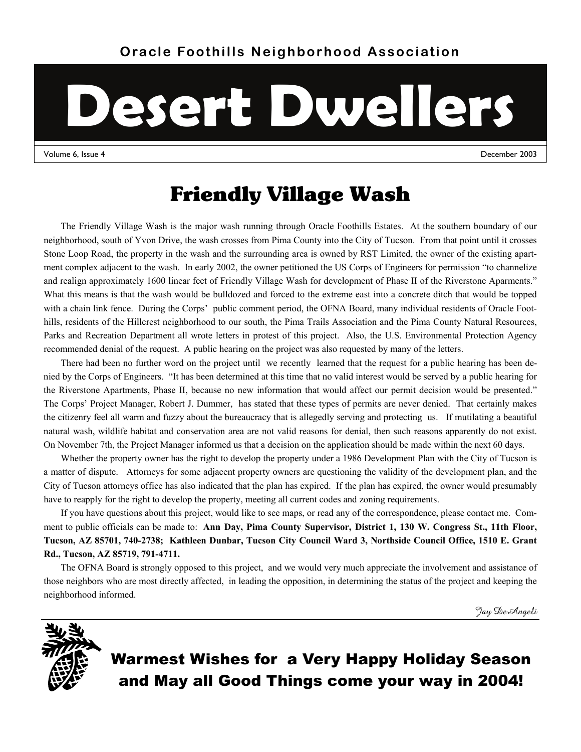# **Desert Dwellers**

Volume 6, Issue 4 December 2003

### Friendly Village Wash

The Friendly Village Wash is the major wash running through Oracle Foothills Estates. At the southern boundary of our neighborhood, south of Yvon Drive, the wash crosses from Pima County into the City of Tucson. From that point until it crosses Stone Loop Road, the property in the wash and the surrounding area is owned by RST Limited, the owner of the existing apartment complex adjacent to the wash. In early 2002, the owner petitioned the US Corps of Engineers for permission "to channelize and realign approximately 1600 linear feet of Friendly Village Wash for development of Phase II of the Riverstone Aparments." What this means is that the wash would be bulldozed and forced to the extreme east into a concrete ditch that would be topped with a chain link fence. During the Corps' public comment period, the OFNA Board, many individual residents of Oracle Foothills, residents of the Hillcrest neighborhood to our south, the Pima Trails Association and the Pima County Natural Resources, Parks and Recreation Department all wrote letters in protest of this project. Also, the U.S. Environmental Protection Agency recommended denial of the request. A public hearing on the project was also requested by many of the letters.

There had been no further word on the project until we recently learned that the request for a public hearing has been denied by the Corps of Engineers. "It has been determined at this time that no valid interest would be served by a public hearing for the Riverstone Apartments, Phase II, because no new information that would affect our permit decision would be presented." The Corps' Project Manager, Robert J. Dummer, has stated that these types of permits are never denied. That certainly makes the citizenry feel all warm and fuzzy about the bureaucracy that is allegedly serving and protecting us. If mutilating a beautiful natural wash, wildlife habitat and conservation area are not valid reasons for denial, then such reasons apparently do not exist. On November 7th, the Project Manager informed us that a decision on the application should be made within the next 60 days.

Whether the property owner has the right to develop the property under a 1986 Development Plan with the City of Tucson is a matter of dispute. Attorneys for some adjacent property owners are questioning the validity of the development plan, and the City of Tucson attorneys office has also indicated that the plan has expired. If the plan has expired, the owner would presumably have to reapply for the right to develop the property, meeting all current codes and zoning requirements.

If you have questions about this project, would like to see maps, or read any of the correspondence, please contact me. Comment to public officials can be made to: **Ann Day, Pima County Supervisor, District 1, 130 W. Congress St., 11th Floor, Tucson, AZ 85701, 740-2738; Kathleen Dunbar, Tucson City Council Ward 3, Northside Council Office, 1510 E. Grant Rd., Tucson, AZ 85719, 791-4711.** 

The OFNA Board is strongly opposed to this project, and we would very much appreciate the involvement and assistance of those neighbors who are most directly affected, in leading the opposition, in determining the status of the project and keeping the neighborhood informed.

Jay DeAngeli



Warmest Wishes for a Very Happy Holiday Season and May all Good Things come your way in 2004!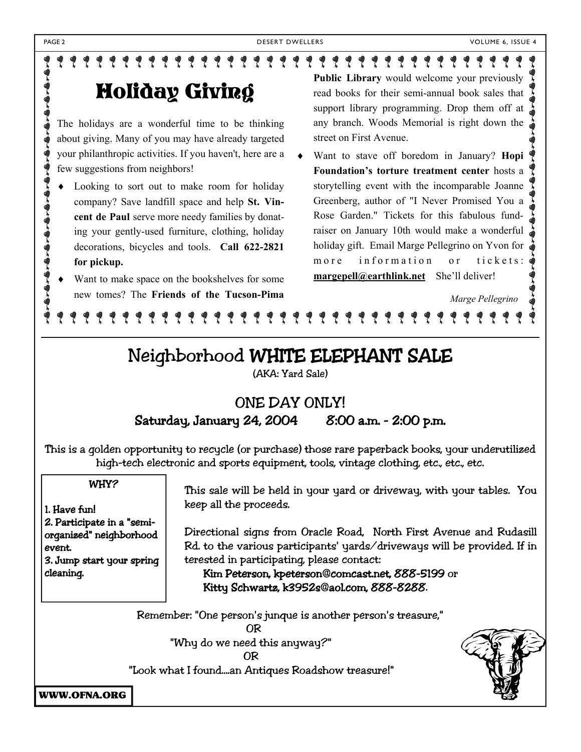### १११११११११११११ Ÿ Holiday Giving

The holidays are a wonderful time to be thinking about giving. Many of you may have already targeted your philanthropic activities. If you haven't, here are a few suggestions from neighbors!

- Looking to sort out to make room for holiday company? Save landfill space and help **St. Vincent de Paul** serve more needy families by donating your gently-used furniture, clothing, holiday decorations, bicycles and tools. **Call 622-2821 for pickup.**
- Want to make space on the bookshelves for some new tomes? The **Friends of the Tucson-Pima**

**Public Library** would welcome your previously read books for their semi-annual book sales that support library programming. Drop them off at any branch. Woods Memorial is right down the street on First Avenue.

 Want to stave off boredom in January? **Hopi Foundation's torture treatment center** hosts a storytelling event with the incomparable Joanne Greenberg, author of "I Never Promised You a Rose Garden." Tickets for this fabulous fundraiser on January 10th would make a wonderful holiday gift. Email Marge Pellegrino on Yvon for more information or tickets: **margepell@earthlink.net** She'll deliver!

### *Marge Pellegrino*

### Neighborhood WHITE ELEPHANT SALE

(AKA: Yard Sale)

### ONE DAY ONLY! Saturday, January 24, 2004 8:00 a.m. - 2:00 p.m.

This is a golden opportunity to recycle (or purchase) those rare paperback books, your underutilized high-tech electronic and sports equipment, tools, vintage clothing, etc., etc., etc.

### WHY?

1. Have fun! 2. Participate in a "semiorganized" neighborhood event. 3. Jump start your spring cleaning.

 This sale will be held in your yard or driveway, with your tables. You keep all the proceeds.

 Directional signs from Oracle Road, North First Avenue and Rudasill Rd. to the various participants' yards/driveways will be provided. If in terested in participating, please contact:

### Kim Peterson, kpeterson@comcast.net, 888-5199 or Kitty Schwartz, k3952s@aol.com, 888-8288.

Remember: "One person's junque is another person's treasure," OR

"Why do we need this anyway?" OR

"Look what I found....an Antiques Roadshow treasure!"



WWW.OFNA.ORG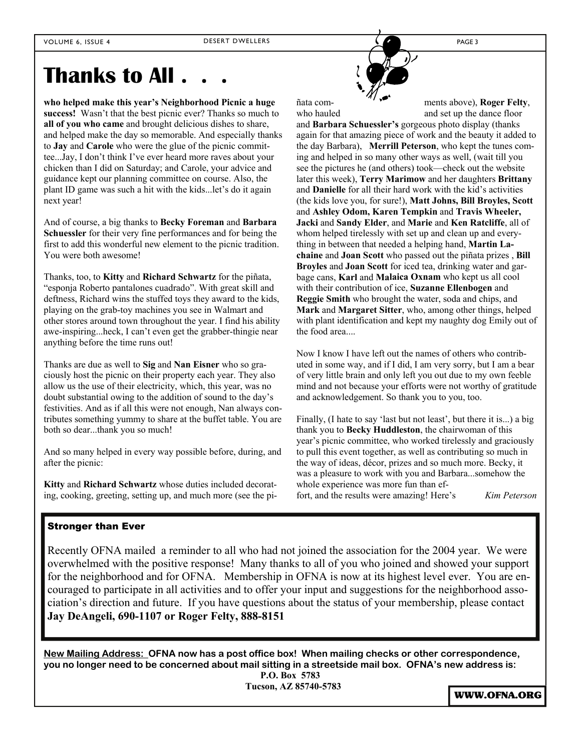### **Thanks to All . . .**

**who helped make this year's Neighborhood Picnic a huge success!** Wasn't that the best picnic ever? Thanks so much to **all of you who came** and brought delicious dishes to share, and helped make the day so memorable. And especially thanks to **Jay** and **Carole** who were the glue of the picnic committee...Jay, I don't think I've ever heard more raves about your chicken than I did on Saturday; and Carole, your advice and guidance kept our planning committee on course. Also, the plant ID game was such a hit with the kids...let's do it again next year!

And of course, a big thanks to **Becky Foreman** and **Barbara Schuessler** for their very fine performances and for being the first to add this wonderful new element to the picnic tradition. You were both awesome!

Thanks, too, to **Kitty** and **Richard Schwartz** for the piñata, "esponja Roberto pantalones cuadrado". With great skill and deftness, Richard wins the stuffed toys they award to the kids, playing on the grab-toy machines you see in Walmart and other stores around town throughout the year. I find his ability awe-inspiring...heck, I can't even get the grabber-thingie near anything before the time runs out!

Thanks are due as well to **Sig** and **Nan Eisner** who so graciously host the picnic on their property each year. They also allow us the use of their electricity, which, this year, was no doubt substantial owing to the addition of sound to the day's festivities. And as if all this were not enough, Nan always contributes something yummy to share at the buffet table. You are both so dear...thank you so much!

And so many helped in every way possible before, during, and after the picnic:

**Kitty** and **Richard Schwartz** whose duties included decorating, cooking, greeting, setting up, and much more (see the pi-

ñata com- ments above), **Roger Felty**,

who hauled and set up the dance floor and **Barbara Schuessler's** gorgeous photo display (thanks again for that amazing piece of work and the beauty it added to the day Barbara), **Merrill Peterson**, who kept the tunes coming and helped in so many other ways as well, (wait till you see the pictures he (and others) took—check out the website later this week), **Terry Marimow** and her daughters **Brittany** and **Danielle** for all their hard work with the kid's activities (the kids love you, for sure!), **Matt Johns, Bill Broyles, Scott**  and **Ashley Odom, Karen Tempkin** and **Travis Wheeler, Jacki** and **Sandy Elder**, and **Marie** and **Ken Ratcliffe**, all of whom helped tirelessly with set up and clean up and everything in between that needed a helping hand, **Martin Lachaine** and **Joan Scott** who passed out the piñata prizes , **Bill Broyles** and **Joan Scott** for iced tea, drinking water and garbage cans, **Karl** and **Malaica Oxnam** who kept us all cool with their contribution of ice, **Suzanne Ellenbogen** and **Reggie Smith** who brought the water, soda and chips, and **Mark** and **Margaret Sitter**, who, among other things, helped with plant identification and kept my naughty dog Emily out of the food area...

Now I know I have left out the names of others who contributed in some way, and if I did, I am very sorry, but I am a bear of very little brain and only left you out due to my own feeble mind and not because your efforts were not worthy of gratitude and acknowledgement. So thank you to you, too.

Finally, (I hate to say 'last but not least', but there it is...) a big thank you to **Becky Huddleston**, the chairwoman of this year's picnic committee, who worked tirelessly and graciously to pull this event together, as well as contributing so much in the way of ideas, décor, prizes and so much more. Becky, it was a pleasure to work with you and Barbara...somehow the whole experience was more fun than effort, and the results were amazing! Here's *Kim Peterson* 

### Stronger than Ever

Recently OFNA mailed a reminder to all who had not joined the association for the 2004 year. We were overwhelmed with the positive response! Many thanks to all of you who joined and showed your support for the neighborhood and for OFNA. Membership in OFNA is now at its highest level ever. You are encouraged to participate in all activities and to offer your input and suggestions for the neighborhood association's direction and future. If you have questions about the status of your membership, please contact **Jay DeAngeli, 690-1107 or Roger Felty, 888-8151**

**New Mailing Address: OFNA now has a post office box! When mailing checks or other correspondence, you no longer need to be concerned about mail sitting in a streetside mail box. OFNA's new address is:** 

**P.O. Box 5783 Tucson, AZ 85740-5783** 

WWW.OFNA.ORG